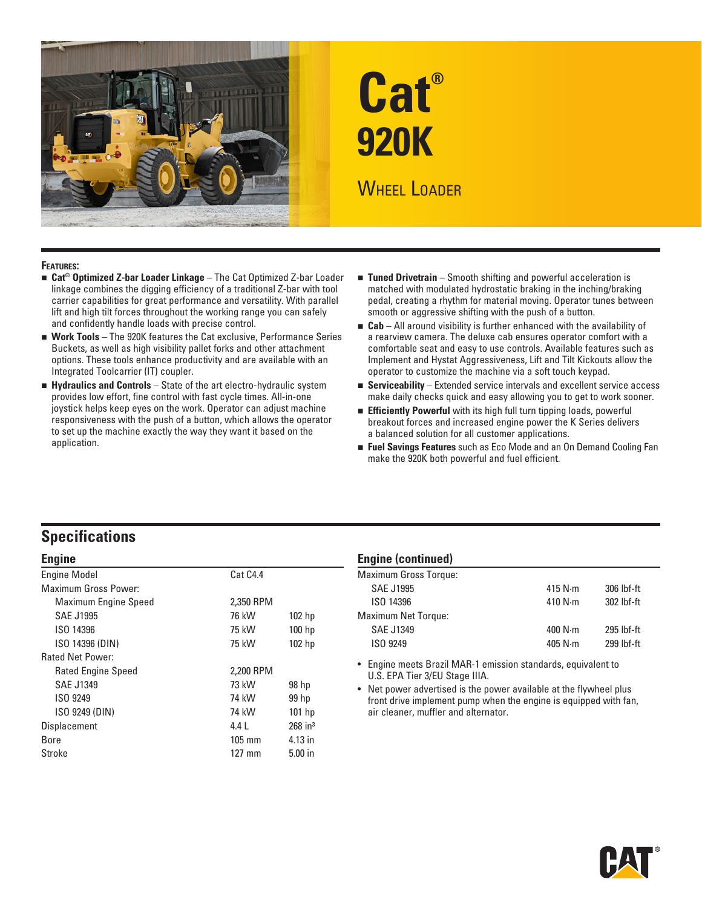

# **Cat® 920K WHEEL LOADER**

#### **Features:**

- Cat<sup>®</sup> Optimized Z-bar Loader Linkage The Cat Optimized Z-bar Loader linkage combines the digging efficiency of a traditional Z-bar with tool carrier capabilities for great performance and versatility. With parallel lift and high tilt forces throughout the working range you can safely and confidently handle loads with precise control.
- **Nork Tools** The 920K features the Cat exclusive, Performance Series Buckets, as well as high visibility pallet forks and other attachment options. These tools enhance productivity and are available with an Integrated Toolcarrier (IT) coupler.
- **Hydraulics and Controls** State of the art electro-hydraulic system provides low effort, fine control with fast cycle times. All-in-one joystick helps keep eyes on the work. Operator can adjust machine responsiveness with the push of a button, which allows the operator to set up the machine exactly the way they want it based on the application.
- Tuned Drivetrain Smooth shifting and powerful acceleration is matched with modulated hydrostatic braking in the inching/braking pedal, creating a rhythm for material moving. Operator tunes between smooth or aggressive shifting with the push of a button.
- **Cab** All around visibility is further enhanced with the availability of a rearview camera. The deluxe cab ensures operator comfort with a comfortable seat and easy to use controls. Available features such as Implement and Hystat Aggressiveness, Lift and Tilt Kickouts allow the operator to customize the machine via a soft touch keypad.
- **Extended service intervals and excellent service access** make daily checks quick and easy allowing you to get to work sooner.
- **Efficiently Powerful** with its high full turn tipping loads, powerful breakout forces and increased engine power the K Series delivers a balanced solution for all customer applications.
- **Fuel Savings Features** such as Eco Mode and an On Demand Cooling Fan make the 920K both powerful and fuel efficient.

## **Specifications**

#### **Engine**

| <b>Engine Model</b>         | Cat C4.4         |                       |
|-----------------------------|------------------|-----------------------|
| <b>Maximum Gross Power:</b> |                  |                       |
| <b>Maximum Engine Speed</b> | 2.350 RPM        |                       |
| <b>SAE J1995</b>            | 76 kW            | 102 <sub>hp</sub>     |
| ISO 14396                   | 75 kW            | 100 hp                |
| ISO 14396 (DIN)             | 75 kW            | 102 <sub>hp</sub>     |
| Rated Net Power:            |                  |                       |
| <b>Rated Engine Speed</b>   | 2.200 RPM        |                       |
| <b>SAE J1349</b>            | 73 kW            | 98 hp                 |
| ISO 9249                    | 74 kW            | 99 hp                 |
| ISO 9249 (DIN)              | 74 kW            | $101$ hp              |
| Displacement                | 4.4 L            | $268$ in <sup>3</sup> |
| Bore                        | $105 \text{ mm}$ | 4.13 in               |
| Stroke                      | $127$ mm         | $5.00$ in             |
|                             |                  |                       |

#### **Engine (continued)**

| <b>Maximum Gross Torque:</b> |                 |              |
|------------------------------|-----------------|--------------|
| <b>SAE J1995</b>             | 415 $N \cdot m$ | 306 lbf-ft   |
| ISO 14396                    | 410 $N \cdot m$ | 302 lbf-ft   |
| <b>Maximum Net Torque:</b>   |                 |              |
| <b>SAE J1349</b>             | 400 $N \cdot m$ | $295$ lbf-ft |
| ISO 9249                     | 405 $N \cdot m$ | $299$ lbf-ft |
|                              |                 |              |

• Engine meets Brazil MAR-1 emission standards, equivalent to U.S. EPA Tier 3/EU Stage IIIA.

• Net power advertised is the power available at the flywheel plus front drive implement pump when the engine is equipped with fan, air cleaner, muffler and alternator.

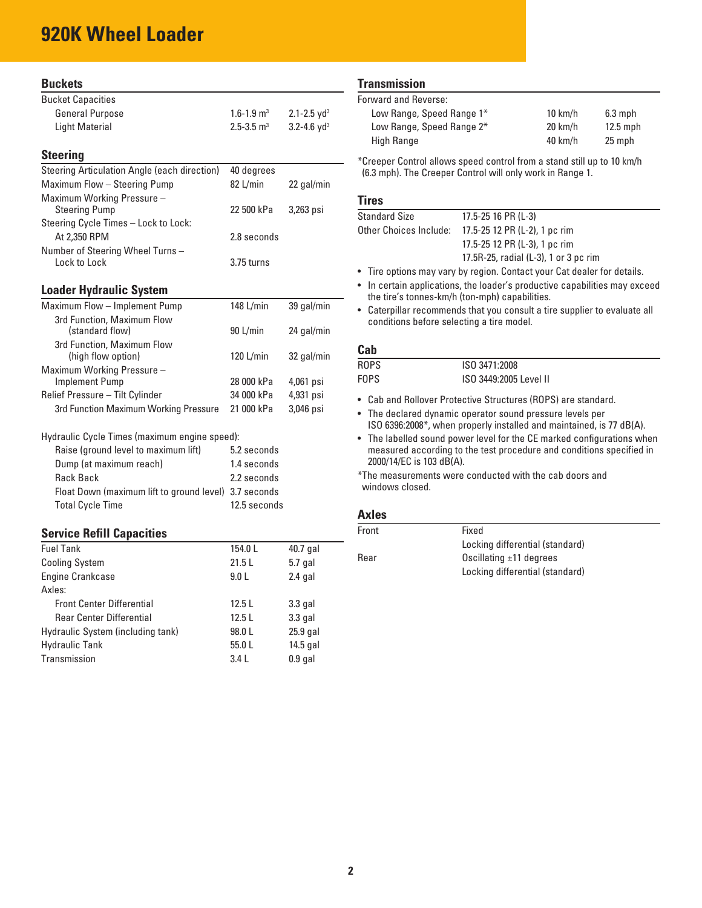# **920K Wheel Loader**

Axles:

| <b>Buckets</b>                                        |                            |                             |
|-------------------------------------------------------|----------------------------|-----------------------------|
| <b>Bucket Capacities</b>                              |                            |                             |
| <b>General Purpose</b>                                | $1.6 - 1.9$ m <sup>3</sup> | $2.1 - 2.5$ yd <sup>3</sup> |
| <b>Light Material</b>                                 | $2.5 - 3.5$ m <sup>3</sup> | $3.2 - 4.6$ yd <sup>3</sup> |
|                                                       |                            |                             |
| <b>Steering</b>                                       |                            |                             |
| Steering Articulation Angle (each direction)          | 40 degrees                 |                             |
| Maximum Flow - Steering Pump                          | 82 L/min                   | 22 gal/min                  |
| Maximum Working Pressure -                            |                            |                             |
| <b>Steering Pump</b>                                  | 22 500 kPa                 | 3,263 psi                   |
| Steering Cycle Times - Lock to Lock:                  |                            |                             |
| At 2,350 RPM                                          | 2.8 seconds                |                             |
| Number of Steering Wheel Turns -                      |                            |                             |
| Lock to Lock                                          | 3.75 turns                 |                             |
| <b>Loader Hydraulic System</b>                        |                            |                             |
|                                                       |                            |                             |
| Maximum Flow - Implement Pump                         | 148 L/min                  | 39 gal/min                  |
| 3rd Function, Maximum Flow<br>(standard flow)         | 90 L/min                   | 24 gal/min                  |
| 3rd Function, Maximum Flow                            |                            |                             |
| (high flow option)                                    | 120 $L/min$                | 32 gal/min                  |
| Maximum Working Pressure -                            |                            |                             |
| <b>Implement Pump</b>                                 | 28 000 kPa                 | 4,061 psi                   |
| Relief Pressure - Tilt Cylinder                       | 34 000 kPa                 | 4,931 psi                   |
| 3rd Function Maximum Working Pressure                 | 21 000 kPa                 | 3,046 psi                   |
|                                                       |                            |                             |
| Hydraulic Cycle Times (maximum engine speed):         |                            |                             |
| Raise (ground level to maximum lift)                  | 5.2 seconds                |                             |
| Dump (at maximum reach)                               | 1.4 seconds                |                             |
| Rack Back                                             | 2.2 seconds                |                             |
| Float Down (maximum lift to ground level) 3.7 seconds |                            |                             |
| <b>Total Cycle Time</b>                               | 12.5 seconds               |                             |
|                                                       |                            |                             |
| <b>Service Refill Capacities</b>                      |                            |                             |
| <b>Fuel Tank</b>                                      | 154.0L                     | 40.7 gal                    |
| <b>Cooling System</b>                                 | 21.5L                      | $5.7$ gal                   |
| <b>Engine Crankcase</b>                               | 9.0 <sub>L</sub>           | $2.4$ gal                   |

Front Center Differential 12.5 L 3.3 gal Rear Center Differential 12.5 L 3.3 gal Hydraulic System (including tank) 98.0 L 25.9 gal Hydraulic Tank 55.0 L 14.5 gal Transmission 3.4 L 0.9 gal

#### **Transmission**

Forward and Reverse:

| Low Range, Speed Range 1* | $10 \text{ km/h}$ | $6.3$ mph  |
|---------------------------|-------------------|------------|
| Low Range, Speed Range 2* | $20 \text{ km/h}$ | $12.5$ mph |
| High Range                | $40 \text{ km/h}$ | 25 mph     |
|                           |                   |            |

\*Creeper Control allows speed control from a stand still up to 10 km/h (6.3 mph). The Creeper Control will only work in Range 1.

#### **Tires**

| <b>Standard Size</b>   | $17.5 - 25$ 16 PR (L-3)                                                        |
|------------------------|--------------------------------------------------------------------------------|
| Other Choices Include: | 17.5-25 12 PR (L-2), 1 pc rim                                                  |
|                        | 17.5-25 12 PR (L-3), 1 pc rim                                                  |
|                        | 17.5R-25, radial (L-3), 1 or 3 pc rim                                          |
|                        | .a. Tina andiana marrirami kirinanian. Panda adirinin Padalaalaa fan Iladaila. |

- Tire options may vary by region. Contact your Cat dealer for details.
- In certain applications, the loader's productive capabilities may exceed the tire's tonnes-km/h (ton-mph) capabilities.
- Caterpillar recommends that you consult a tire supplier to evaluate all conditions before selecting a tire model.

#### **Cab**

| ---- |                        |
|------|------------------------|
| ROPS | ISO 3471:2008          |
| FOPS | ISO 3449:2005 Level II |

- Cab and Rollover Protective Structures (ROPS) are standard.
- The declared dynamic operator sound pressure levels per ISO 6396:2008\*, when properly installed and maintained, is 77 dB(A).
- The labelled sound power level for the CE marked configurations when measured according to the test procedure and conditions specified in 2000/14/EC is 103 dB(A).
- \*The measurements were conducted with the cab doors and windows closed.

#### **Axles**

| Front | Fixed                           |
|-------|---------------------------------|
|       | Locking differential (standard) |
| Rear  | Oscillating $\pm$ 11 degrees    |
|       | Locking differential (standard) |
|       |                                 |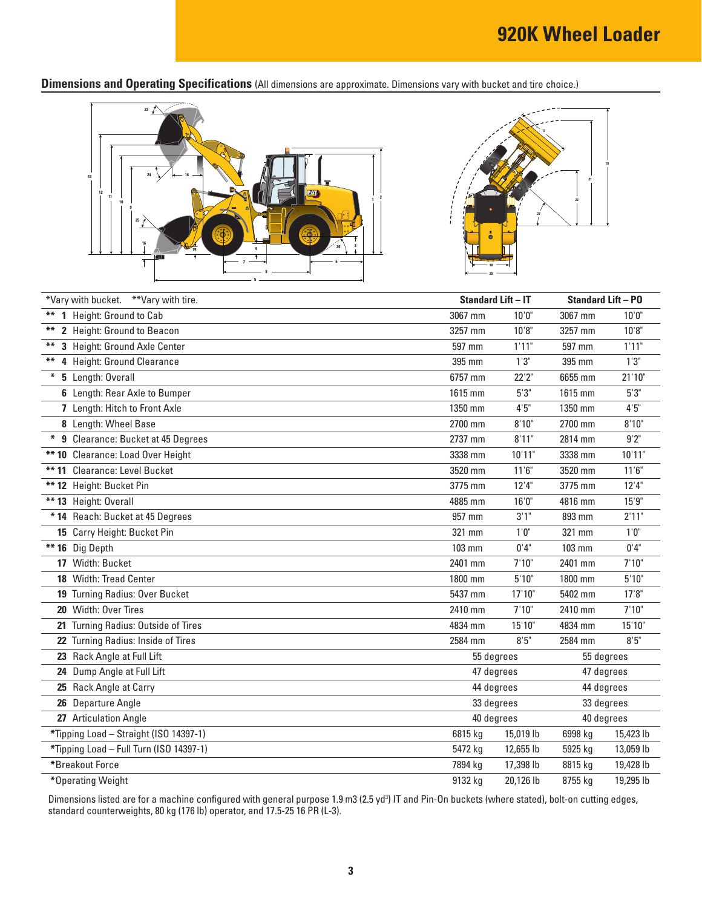**Dimensions and Operating Specifications** (All dimensions are approximate. Dimensions vary with bucket and tire choice.)





| *Vary with bucket. **Vary with tire.    |         | <b>Standard Lift - IT</b> | <b>Standard Lift - PO</b> |            |  |
|-----------------------------------------|---------|---------------------------|---------------------------|------------|--|
| 1 Height: Ground to Cab<br>**           | 3067 mm | 10'0"                     | 3067 mm                   | 10'0"      |  |
| 2 Height: Ground to Beacon<br>**        | 3257 mm | 10'8"                     | 3257 mm                   | 10'8"      |  |
| 3 Height: Ground Axle Center<br>**      | 597 mm  | 1'11"                     | 597 mm                    | 1'11"      |  |
| **<br>4 Height: Ground Clearance        | 395 mm  | 1'3''                     | 395 mm                    | 1'3''      |  |
| * 5 Length: Overall                     | 6757 mm | 22'2"                     | 6655 mm                   | 21'10"     |  |
| 6 Length: Rear Axle to Bumper           | 1615 mm | 5'3''                     | 1615 mm                   | 5'3''      |  |
| 7 Length: Hitch to Front Axle           | 1350 mm | 4'5''                     | 1350 mm                   | 4'5''      |  |
| 8 Length: Wheel Base                    | 2700 mm | 8'10"                     | 2700 mm                   | 8'10"      |  |
| * 9 Clearance: Bucket at 45 Degrees     | 2737 mm | 8'11"                     | 2814 mm                   | 9'2"       |  |
| ** 10 Clearance: Load Over Height       | 3338 mm | 10'11"                    | 3338 mm                   | 10'11"     |  |
| ** 11 Clearance: Level Bucket           | 3520 mm | 11'6''                    | 3520 mm                   | 11'6''     |  |
| ** 12 Height: Bucket Pin                | 3775 mm | 12'4''                    | 3775 mm                   | 12'4''     |  |
| ** 13 Height: Overall                   | 4885 mm | 16'0''                    | 4816 mm                   | 15'9''     |  |
| * 14 Reach: Bucket at 45 Degrees        | 957 mm  | 3'1''                     | 893 mm                    | 2'11"      |  |
| 15 Carry Height: Bucket Pin             | 321 mm  | 1'0''                     | 321 mm                    | 1'0''      |  |
| ** 16 Dig Depth                         | 103 mm  | 0'4"                      | 103 mm                    | 0'4"       |  |
| 17 Width: Bucket                        | 2401 mm | 7'10"                     | 2401 mm                   | 7'10''     |  |
| 18 Width: Tread Center                  | 1800 mm | 5'10''                    | 1800 mm                   | 5'10''     |  |
| 19 Turning Radius: Over Bucket          | 5437 mm | 17'10"                    | 5402 mm                   | 17'8''     |  |
| 20 Width: Over Tires                    | 2410 mm | 7'10"                     | 2410 mm                   | 7'10''     |  |
| 21 Turning Radius: Outside of Tires     | 4834 mm | 15'10"                    | 4834 mm                   | 15'10"     |  |
| 22 Turning Radius: Inside of Tires      | 2584 mm | 8'5''                     | 2584 mm                   | 8'5''      |  |
| 23 Rack Angle at Full Lift              |         | 55 degrees                |                           | 55 degrees |  |
| 24 Dump Angle at Full Lift              |         | 47 degrees                | 47 degrees                |            |  |
| 25 Rack Angle at Carry                  |         | 44 degrees                | 44 degrees                |            |  |
| 26 Departure Angle                      |         | 33 degrees                | 33 degrees                |            |  |
| 27 Articulation Angle                   |         | 40 degrees                | 40 degrees                |            |  |
| *Tipping Load - Straight (ISO 14397-1)  | 6815 kg | 15,019 lb                 | 6998 kg                   | 15,423 lb  |  |
| *Tipping Load - Full Turn (ISO 14397-1) | 5472 kg | 12,655 lb                 | 5925 kg                   | 13,059 lb  |  |
| *Breakout Force                         | 7894 kg | 17,398 lb                 | 8815 kg                   | 19,428 lb  |  |
| *Operating Weight                       | 9132 kg | 20.126 lb                 | 8755 kg                   | 19,295 lb  |  |

Dimensions listed are for a machine configured with general purpose 1.9 m3 (2.5 yd<sup>3</sup>) IT and Pin-On buckets (where stated), bolt-on cutting edges, standard counterweights, 80 kg (176 lb) operator, and 17.5-25 16 PR (L-3).